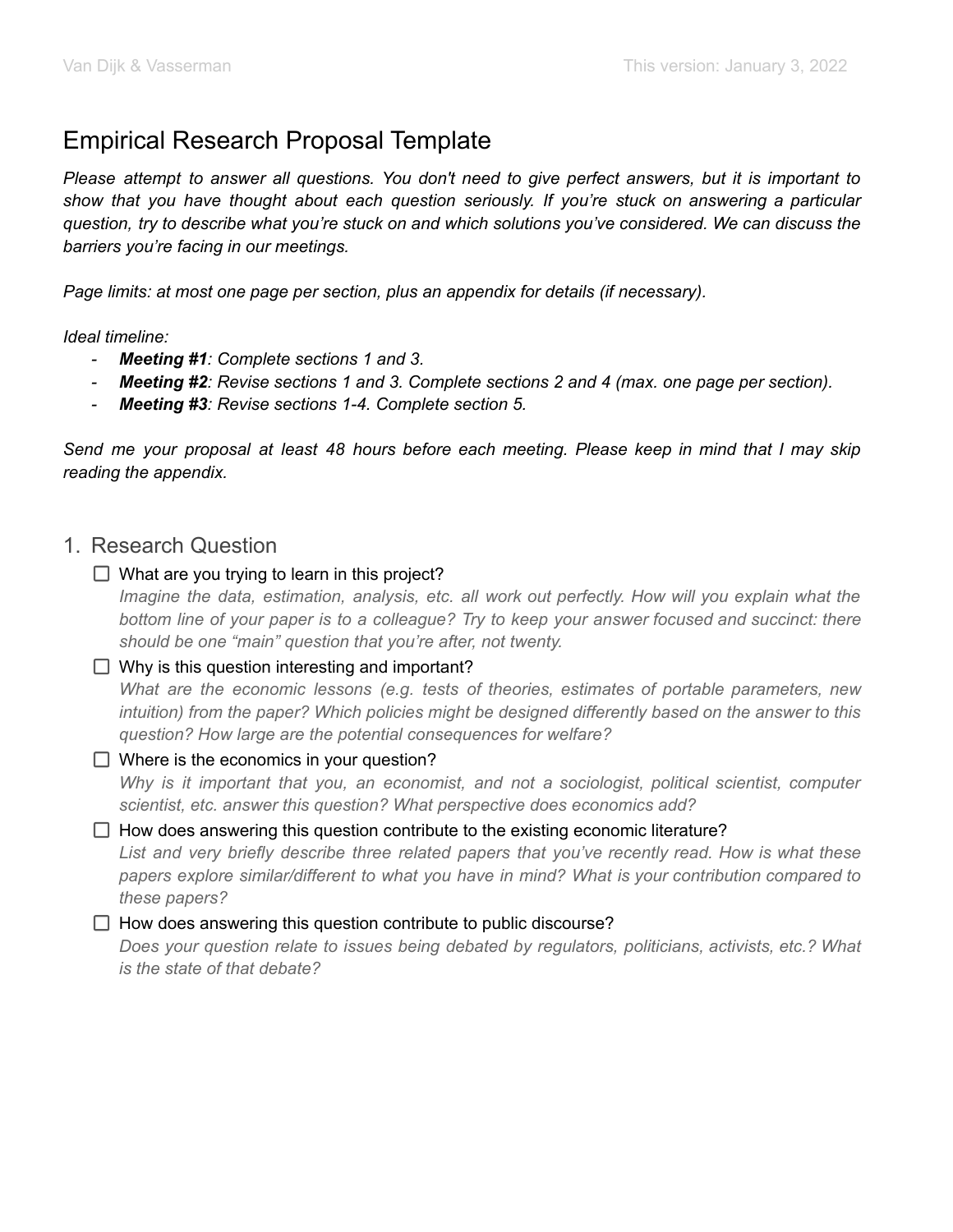# Empirical Research Proposal Template

Please attempt to answer all questions. You don't need to give perfect answers, but it is important to *show that you have thought about each question seriously. If you're stuck on answering a particular question, try to describe what you're stuck on and which solutions you've considered. We can discuss the barriers you're facing in our meetings.*

*Page limits: at most one page per section, plus an appendix for details (if necessary).*

*Ideal timeline:*

- *- Meeting #1: Complete sections 1 and 3.*
- Meeting #2: Revise sections 1 and 3. Complete sections 2 and 4 (max. one page per section).
- *- Meeting #3: Revise sections 1-4. Complete section 5.*

Send me your proposal at least 48 hours before each meeting. Please keep in mind that I may skip *reading the appendix.*

### 1. Research Question

 $\Box$  What are you trying to learn in this project?

*Imagine the data, estimation, analysis, etc. all work out perfectly. How will you explain what the bottom line of your paper is to a colleague? Try to keep your answer focused and succinct: there should be one "main" question that you're after, not twenty.*

### $\Box$  Why is this question interesting and important?

*What are the economic lessons (e.g. tests of theories, estimates of portable parameters, new intuition) from the paper? Which policies might be designed differently based on the answer to this question? How large are the potential consequences for welfare?*

### $\Box$  Where is the economics in your question?

*Why is it important that you, an economist, and not a sociologist, political scientist, computer scientist, etc. answer this question? What perspective does economics add?*

### $\Box$  How does answering this question contribute to the existing economic literature?

*List and very briefly describe three related papers that you've recently read. How is what these papers explore similar/different to what you have in mind? What is your contribution compared to these papers?*

### $\Box$  How does answering this question contribute to public discourse?

*Does your question relate to issues being debated by regulators, politicians, activists, etc.? What is the state of that debate?*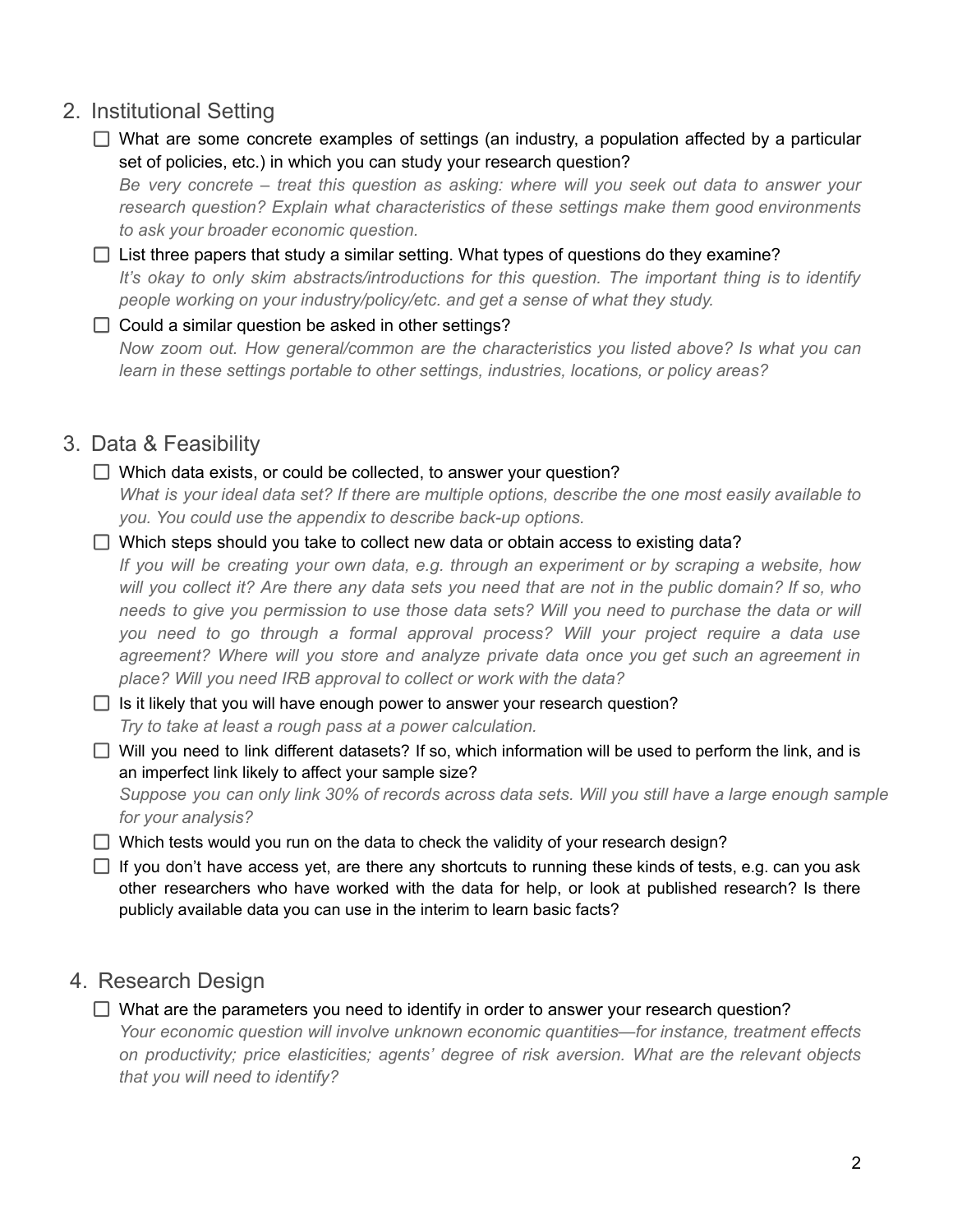# 2. Institutional Setting

- $\Box$  What are some concrete examples of settings (an industry, a population affected by a particular set of policies, etc.) in which you can study your research question? *Be very concrete – treat this question as asking: where will you seek out data to answer your research question? Explain what characteristics of these settings make them good environments to ask your broader economic question.*
- $\Box$  List three papers that study a similar setting. What types of questions do they examine? *It's okay to only skim abstracts/introductions for this question. The important thing is to identify people working on your industry/policy/etc. and get a sense of what they study.*

### $\Box$  Could a similar question be asked in other settings? *Now zoom out. How general/common are the characteristics you listed above? Is what you can learn in these settings portable to other settings, industries, locations, or policy areas?*

# 3. Data & Feasibility

- $\Box$  Which data exists, or could be collected, to answer your question? What is your ideal data set? If there are multiple options, describe the one most easily available to *you. You could use the appendix to describe back-up options.*
- $\Box$  Which steps should you take to collect new data or obtain access to existing data?

*If you will be creating your own data, e.g. through an experiment or by scraping a website, how* will you collect it? Are there any data sets you need that are not in the public domain? If so, who needs to give you permission to use those data sets? Will you need to purchase the data or will *you need to go through a formal approval process? Will your project require a data use agreement? Where will you store and analyze private data once you get such an agreement in place? Will you need IRB approval to collect or work with the data?*

 $\Box$  Is it likely that you will have enough power to answer your research question? *Try to take at least a rough pass at a power calculation.*

 $\Box$  Will you need to link different datasets? If so, which information will be used to perform the link, and is an imperfect link likely to affect your sample size?

Suppose you can only link 30% of records across data sets. Will you still have a large enough sample *for your analysis?*

 $\Box$  Which tests would you run on the data to check the validity of your research design?

 $\Box$  If you don't have access yet, are there any shortcuts to running these kinds of tests, e.g. can you ask other researchers who have worked with the data for help, or look at published research? Is there publicly available data you can use in the interim to learn basic facts?

# 4. Research Design

 $\Box$  What are the parameters you need to identify in order to answer your research question? *Your economic question will involve unknown economic quantities—for instance, treatment effects on productivity; price elasticities; agents' degree of risk aversion. What are the relevant objects*